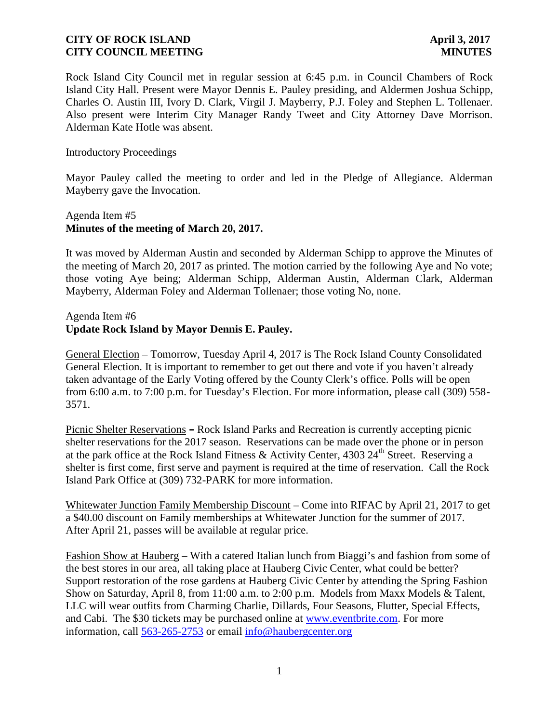# **CITY OF ROCK ISLAND April 3, 2017 CITY COUNCIL MEETING MINUTES**

Rock Island City Council met in regular session at 6:45 p.m. in Council Chambers of Rock Island City Hall. Present were Mayor Dennis E. Pauley presiding, and Aldermen Joshua Schipp, Charles O. Austin III, Ivory D. Clark, Virgil J. Mayberry, P.J. Foley and Stephen L. Tollenaer. Also present were Interim City Manager Randy Tweet and City Attorney Dave Morrison. Alderman Kate Hotle was absent.

### Introductory Proceedings

Mayor Pauley called the meeting to order and led in the Pledge of Allegiance. Alderman Mayberry gave the Invocation.

# Agenda Item #5 **Minutes of the meeting of March 20, 2017.**

It was moved by Alderman Austin and seconded by Alderman Schipp to approve the Minutes of the meeting of March 20, 2017 as printed. The motion carried by the following Aye and No vote; those voting Aye being; Alderman Schipp, Alderman Austin, Alderman Clark, Alderman Mayberry, Alderman Foley and Alderman Tollenaer; those voting No, none.

Agenda Item #6

# **Update Rock Island by Mayor Dennis E. Pauley.**

General Election – Tomorrow, Tuesday April 4, 2017 is The Rock Island County Consolidated General Election. It is important to remember to get out there and vote if you haven't already taken advantage of the Early Voting offered by the County Clerk's office. Polls will be open from 6:00 a.m. to 7:00 p.m. for Tuesday's Election. For more information, please call (309) 558- 3571.

Picnic Shelter Reservations **–** Rock Island Parks and Recreation is currently accepting picnic shelter reservations for the 2017 season. Reservations can be made over the phone or in person at the park office at the Rock Island Fitness & Activity Center, 4303 24<sup>th</sup> Street. Reserving a shelter is first come, first serve and payment is required at the time of reservation. Call the Rock Island Park Office at (309) 732-PARK for more information.

Whitewater Junction Family Membership Discount – Come into RIFAC by April 21, 2017 to get a \$40.00 discount on Family memberships at Whitewater Junction for the summer of 2017. After April 21, passes will be available at regular price.

Fashion Show at Hauberg – With a catered Italian lunch from Biaggi's and fashion from some of the best stores in our area, all taking place at Hauberg Civic Center, what could be better? Support restoration of the rose gardens at Hauberg Civic Center by attending the Spring Fashion Show on Saturday, April 8, from 11:00 a.m. to 2:00 p.m. Models from Maxx Models & Talent, LLC will wear outfits from Charming Charlie, Dillards, Four Seasons, Flutter, Special Effects, and Cabi. The \$30 tickets may be purchased online at www.eventbrite.com. For more information, call 563-265-2753 or email info@haubergcenter.org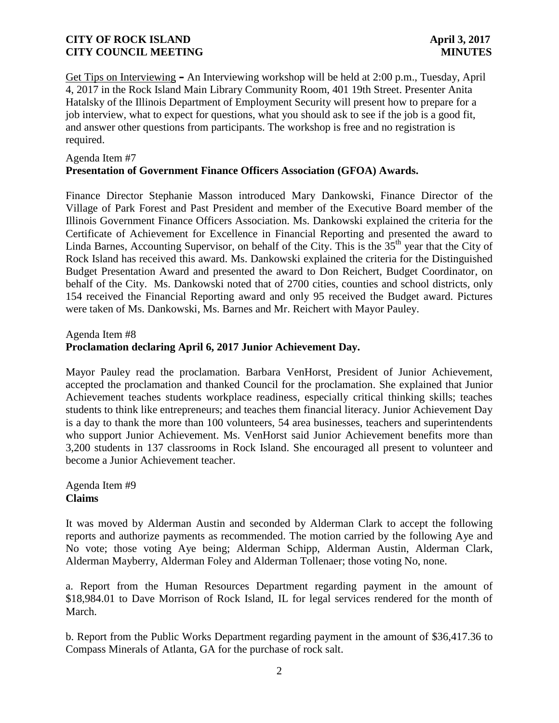# **CITY OF ROCK ISLAND April 3, 2017 CITY COUNCIL MEETING MINUTES**

Get Tips on Interviewing **–** An Interviewing workshop will be held at 2:00 p.m., Tuesday, April 4, 2017 in the Rock Island Main Library Community Room, 401 19th Street. Presenter Anita Hatalsky of the Illinois Department of Employment Security will present how to prepare for a job interview, what to expect for questions, what you should ask to see if the job is a good fit, and answer other questions from participants. The workshop is free and no registration is required.

#### Agenda Item #7

# **Presentation of Government Finance Officers Association (GFOA) Awards.**

Finance Director Stephanie Masson introduced Mary Dankowski, Finance Director of the Village of Park Forest and Past President and member of the Executive Board member of the Illinois Government Finance Officers Association. Ms. Dankowski explained the criteria for the Certificate of Achievement for Excellence in Financial Reporting and presented the award to Linda Barnes, Accounting Supervisor, on behalf of the City. This is the  $35<sup>th</sup>$  year that the City of Rock Island has received this award. Ms. Dankowski explained the criteria for the Distinguished Budget Presentation Award and presented the award to Don Reichert, Budget Coordinator, on behalf of the City. Ms. Dankowski noted that of 2700 cities, counties and school districts, only 154 received the Financial Reporting award and only 95 received the Budget award. Pictures were taken of Ms. Dankowski, Ms. Barnes and Mr. Reichert with Mayor Pauley.

### Agenda Item #8 **Proclamation declaring April 6, 2017 Junior Achievement Day.**

Mayor Pauley read the proclamation. Barbara VenHorst, President of Junior Achievement, accepted the proclamation and thanked Council for the proclamation. She explained that Junior Achievement teaches students workplace readiness, especially critical thinking skills; teaches students to think like entrepreneurs; and teaches them financial literacy. Junior Achievement Day is a day to thank the more than 100 volunteers, 54 area businesses, teachers and superintendents who support Junior Achievement. Ms. VenHorst said Junior Achievement benefits more than 3,200 students in 137 classrooms in Rock Island. She encouraged all present to volunteer and become a Junior Achievement teacher.

Agenda Item #9 **Claims**

It was moved by Alderman Austin and seconded by Alderman Clark to accept the following reports and authorize payments as recommended. The motion carried by the following Aye and No vote; those voting Aye being; Alderman Schipp, Alderman Austin, Alderman Clark, Alderman Mayberry, Alderman Foley and Alderman Tollenaer; those voting No, none.

a. Report from the Human Resources Department regarding payment in the amount of \$18,984.01 to Dave Morrison of Rock Island, IL for legal services rendered for the month of March.

b. Report from the Public Works Department regarding payment in the amount of \$36,417.36 to Compass Minerals of Atlanta, GA for the purchase of rock salt.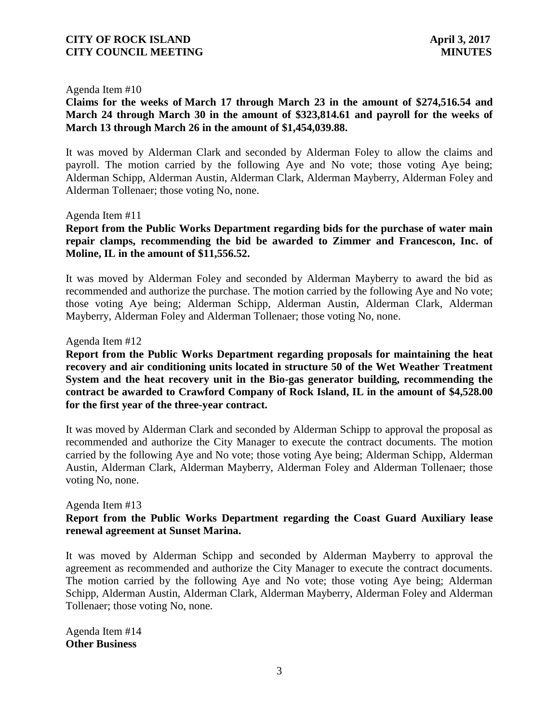### Agenda Item #10

**Claims for the weeks of March 17 through March 23 in the amount of \$274,516.54 and March 24 through March 30 in the amount of \$323,814.61 and payroll for the weeks of March 13 through March 26 in the amount of \$1,454,039.88.**

It was moved by Alderman Clark and seconded by Alderman Foley to allow the claims and payroll. The motion carried by the following Aye and No vote; those voting Aye being; Alderman Schipp, Alderman Austin, Alderman Clark, Alderman Mayberry, Alderman Foley and Alderman Tollenaer; those voting No, none.

#### Agenda Item #11

# **Report from the Public Works Department regarding bids for the purchase of water main repair clamps, recommending the bid be awarded to Zimmer and Francescon, Inc. of Moline, IL in the amount of \$11,556.52.**

It was moved by Alderman Foley and seconded by Alderman Mayberry to award the bid as recommended and authorize the purchase. The motion carried by the following Aye and No vote; those voting Aye being; Alderman Schipp, Alderman Austin, Alderman Clark, Alderman Mayberry, Alderman Foley and Alderman Tollenaer; those voting No, none.

#### Agenda Item #12

**Report from the Public Works Department regarding proposals for maintaining the heat recovery and air conditioning units located in structure 50 of the Wet Weather Treatment System and the heat recovery unit in the Bio-gas generator building, recommending the contract be awarded to Crawford Company of Rock Island, IL in the amount of \$4,528.00 for the first year of the three-year contract.**

It was moved by Alderman Clark and seconded by Alderman Schipp to approval the proposal as recommended and authorize the City Manager to execute the contract documents. The motion carried by the following Aye and No vote; those voting Aye being; Alderman Schipp, Alderman Austin, Alderman Clark, Alderman Mayberry, Alderman Foley and Alderman Tollenaer; those voting No, none.

#### Agenda Item #13

# **Report from the Public Works Department regarding the Coast Guard Auxiliary lease renewal agreement at Sunset Marina.**

It was moved by Alderman Schipp and seconded by Alderman Mayberry to approval the agreement as recommended and authorize the City Manager to execute the contract documents. The motion carried by the following Aye and No vote; those voting Aye being; Alderman Schipp, Alderman Austin, Alderman Clark, Alderman Mayberry, Alderman Foley and Alderman Tollenaer; those voting No, none.

Agenda Item #14 **Other Business**